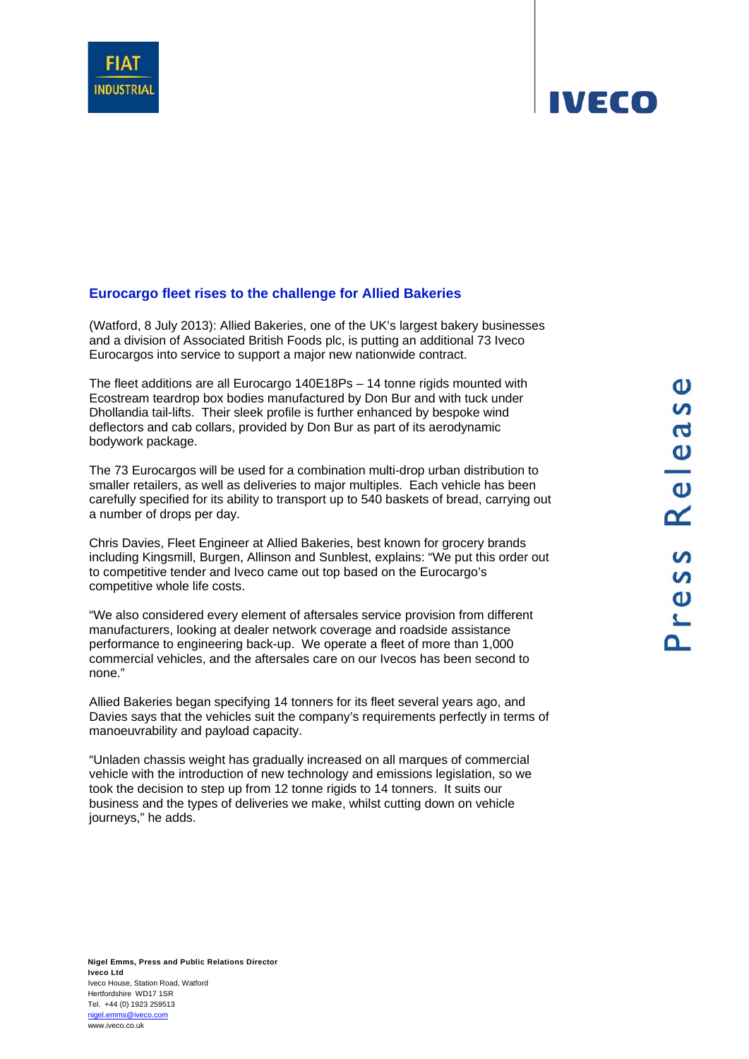

## **IVECO**

## **Eurocargo fleet rises to the challenge for Allied Bakeries**

(Watford, 8 July 2013): Allied Bakeries, one of the UK's largest bakery businesses and a division of Associated British Foods plc, is putting an additional 73 Iveco Eurocargos into service to support a major new nationwide contract.

The fleet additions are all Eurocargo 140E18Ps – 14 tonne rigids mounted with Ecostream teardrop box bodies manufactured by Don Bur and with tuck under Dhollandia tail-lifts. Their sleek profile is further enhanced by bespoke wind deflectors and cab collars, provided by Don Bur as part of its aerodynamic bodywork package.

The 73 Eurocargos will be used for a combination multi-drop urban distribution to smaller retailers, as well as deliveries to major multiples. Each vehicle has been carefully specified for its ability to transport up to 540 baskets of bread, carrying out a number of drops per day.

Chris Davies, Fleet Engineer at Allied Bakeries, best known for grocery brands including Kingsmill, Burgen, Allinson and Sunblest, explains: "We put this order out to competitive tender and Iveco came out top based on the Eurocargo's competitive whole life costs.

"We also considered every element of aftersales service provision from different manufacturers, looking at dealer network coverage and roadside assistance performance to engineering back-up. We operate a fleet of more than 1,000 commercial vehicles, and the aftersales care on our Ivecos has been second to none."

Allied Bakeries began specifying 14 tonners for its fleet several years ago, and Davies says that the vehicles suit the company's requirements perfectly in terms of manoeuvrability and payload capacity.

"Unladen chassis weight has gradually increased on all marques of commercial vehicle with the introduction of new technology and emissions legislation, so we took the decision to step up from 12 tonne rigids to 14 tonners. It suits our business and the types of deliveries we make, whilst cutting down on vehicle journeys," he adds.